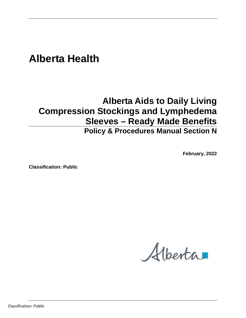# **Alberta Health**

# **Alberta Aids to Daily Living Compression Stockings and Lymphedema Sleeves – Ready Made Benefits**

# **Policy & Procedures Manual Section N**

**February, 2022**

**Classification: Public**

Alberta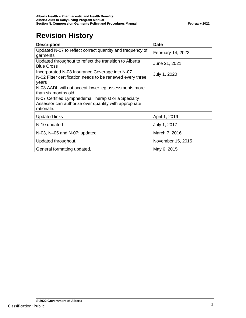# **Revision History**

| <b>Description</b>                                                                                                                                                                                                                                                        | <b>Date</b>       |  |
|---------------------------------------------------------------------------------------------------------------------------------------------------------------------------------------------------------------------------------------------------------------------------|-------------------|--|
| Updated N-07 to reflect correct quantity and frequency of<br>garments                                                                                                                                                                                                     | February 14, 2022 |  |
| Updated throughout to reflect the transition to Alberta<br><b>Blue Cross</b>                                                                                                                                                                                              | June 21, 2021     |  |
| Incorporated N-08 Insurance Coverage into N-07<br>July 1, 2020<br>N-02 Fitter certification needs to be renewed every three<br>years<br>N-03 AADL will not accept lower leg assessments more<br>than six months old<br>N-07 Certified Lymphedema Therapist or a Specialty |                   |  |
| Assessor can authorize over quantity with appropriate<br>rationale.                                                                                                                                                                                                       |                   |  |
| <b>Updated links</b>                                                                                                                                                                                                                                                      | April 1, 2019     |  |
| N-10 updated                                                                                                                                                                                                                                                              | July 1, 2017      |  |
| N-03, N-05 and N-07: updated                                                                                                                                                                                                                                              | March 7, 2016     |  |
| Updated throughout.                                                                                                                                                                                                                                                       | November 15, 2015 |  |
| General formatting updated.                                                                                                                                                                                                                                               | May 6, 2015       |  |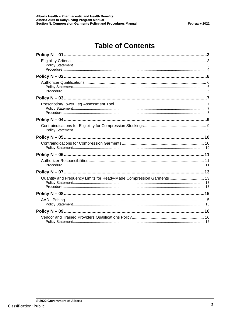# **Table of Contents**

| Quantity and Frequency Limits for Ready-Made Compression Garments  13 |  |
|-----------------------------------------------------------------------|--|
|                                                                       |  |
|                                                                       |  |
|                                                                       |  |
|                                                                       |  |
|                                                                       |  |
|                                                                       |  |
|                                                                       |  |
|                                                                       |  |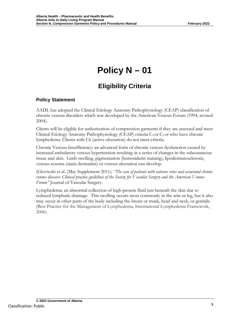# **Eligibility Criteria**

## <span id="page-3-2"></span><span id="page-3-1"></span><span id="page-3-0"></span>**Policy Statement**

AADL has adopted the Clinical Etiology Anatomy Pathophysiology (CEAP) classification of chronic venous disorders which was developed by the American Venous Forum (1994, revised 2004).

Clients will be eligible for authorization of compression garments if they are assessed and meet Clinical Etiology Anatomy Pathophysiology (CEAP) criteria C<sub>4</sub> or C<sub>5</sub> or who have chronic lymphedema. Clients with C6 (active ulceration) do not meet criteria.

Chronic Venous Insufficiency: an advanced form of chronic venous dysfunction caused by increased ambulatory venous hypertension resulting in a series of changes in the subcutaneous tissue and skin. Limb swelling, pigmentation (hemosiderin staining), lipodermatosclerosis, venous eczema (stasis dermatitis) or venous ulceration can develop.

(Gloviczki et al. (May Supplement 2011*). "The care of patients with varicose veins and associated chronic venous diseases: Clinical practice guidelines of the Society for Vascular Surgery and the American Venous Forum"* Journal of Vascular Surgery.

Lymphedema: an abnormal collection of high-protein fluid just beneath the skin due to reduced lymphatic drainage. This swelling occurs most commonly in the arm or leg, but it also may occur in other parts of the body including the breast or trunk, head and neck, or genitals. (Best Practice for the Management of Lymphedema, International Lymphedema Framework, 2006).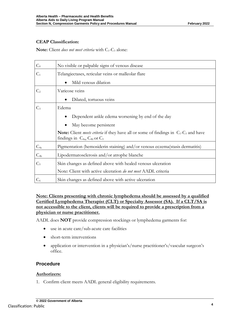#### **CEAP Classification:**

**Note:** Client *does not meet criteria* with C<sub>1</sub>-C<sub>3</sub> alone:

| $C_0$          | No visible or palpable signs of venous disease                                                                                                               |
|----------------|--------------------------------------------------------------------------------------------------------------------------------------------------------------|
| $C_1$          | Telangiectases, reticular veins or malleolar flare                                                                                                           |
|                | Mild venous dilation                                                                                                                                         |
| C <sub>2</sub> | Varicose veins                                                                                                                                               |
|                | Dilated, tortuous veins                                                                                                                                      |
| $C_3$          | Edema                                                                                                                                                        |
|                | Dependent ankle edema worsening by end of the day                                                                                                            |
|                | May become persistent                                                                                                                                        |
|                | <b>Note:</b> Client <i>meets criteria</i> if they have all or some of findings in $C_1$ -C <sub>3</sub> and have<br>findings in $C_{4a}$ , $C_{4b}$ or $C_5$ |
| $C_{4a}$       | Pigmentation (hemosiderin staining) and/or venous eczema(stasis dermatitis)                                                                                  |
| $C_{4b}$       | Lipodermatosclerosis and/or atrophe blanche                                                                                                                  |
| C <sub>5</sub> | Skin changes as defined above with healed venous ulceration                                                                                                  |
|                | Note: Client with active ulceration do not meet AADL criteria                                                                                                |
| $C_6$          | Skin changes as defined above with active ulceration                                                                                                         |

**Note: Clients presenting with chronic lymphedema should be assessed by a qualified Certified Lymphedema Therapist (CLT) or Specialty Assessor (SA). If a CLT/SA is not accessible to the client, clients will be required to provide a prescription from a physician or nurse practitioner.**

AADL does **NOT** provide compression stockings or lymphedema garments for:

- use in acute care/sub-acute care facilities
- short-term interventions
- application or intervention in a physician's/nurse practitioner's/vascular surgeon's office.

### <span id="page-4-0"></span>**Procedure**

#### **Authorizers:**

1. Confirm client meets AADL general eligibility requirements.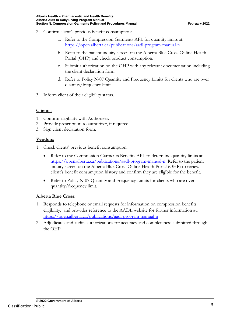- 2. Confirm client's previous benefit consumption:
	- a. Refer to the Compression Garments APL for quantity limits at: <https://open.alberta.ca/publications/aadl-program-manual-n>
	- b. Refer to the patient inquiry screen on the Alberta Blue Cross Online Health Portal (OHP) and check product consumption.
	- c. Submit authorization on the OHP with any relevant documentation including the client declaration form.
	- d. Refer to Policy N-07 Quantity and Frequency Limits for clients who are over quantity/frequency limit.
- 3. Inform client of their eligibility status.

#### **Clients:**

- 1. Confirm eligibility with Authorizer.
- 2. Provide prescription to authorizer, if required.
- 3. Sign client declaration form.

#### **Vendors:**

- 1. Check clients' previous benefit consumption:
	- Refer to the Compression Garments Benefits APL to determine quantity limits at: [https://open.alberta.ca/publications/aadl-program-manual-n.](https://open.alberta.ca/publications/aadl-program-manual-n) Refer to the patient inquiry screen on the Alberta Blue Cross Online Health Portal (OHP) to review client's benefit consumption history and confirm they are eligible for the benefit.
	- Refer to Policy N-07 Quantity and Frequency Limits for clients who are over quantity/frequency limit.

#### **Alberta Blue Cross:**

- 1. Responds to telephone or email requests for information on compression benefits eligibility; and provides reference to the AADL website for further information at: <https://open.alberta.ca/publications/aadl-program-manual-n>
- 2. Adjudicates and audits authorizations for accuracy and completeness submitted through the OHP.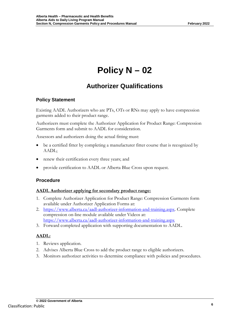# **Authorizer Qualifications**

## <span id="page-6-2"></span><span id="page-6-1"></span><span id="page-6-0"></span>**Policy Statement**

Existing AADL Authorizers who are PTs, OTs or RNs may apply to have compression garments added to their product range.

Authorizers must complete the Authorizer Application for Product Range: Compression Garments form and submit to AADL for consideration.

Assessors and authorizers doing the actual fitting must:

- be a certified fitter by completing a manufacturer fitter course that is recognized by AADL;
- renew their certification every three years; and
- <span id="page-6-3"></span>• provide certification to AADL or Alberta Blue Cross upon request.

### **Procedure**

#### **AADL Authorizer applying for secondary product range:**

- 1. Complete Authorizer Application for Product Range: Compression Garments form available under Authorizer Application Forms at:
- 2. [https://www.alberta.ca/aadl-authorizer-information-and-training.aspx.](https://www.alberta.ca/aadl-authorizer-information-and-training.aspx) Complete compression on-line module available under Videos at: <https://www.alberta.ca/aadl-authorizer-information-and-training.aspx>
- 3. Forward completed application with supporting documentation to AADL.

## **AADL:**

- 1. Reviews application.
- 2. Advises Alberta Blue Cross to add the product range to eligible authorizers.
- 3. Monitors authorizer activities to determine compliance with policies and procedures.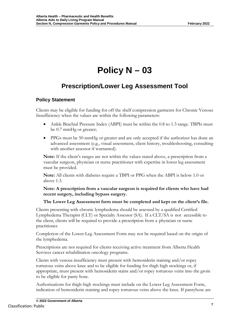# <span id="page-7-0"></span>**Prescription/Lower Leg Assessment Tool**

## <span id="page-7-2"></span><span id="page-7-1"></span>**Policy Statement**

Clients may be eligible for funding for off the shelf compression garments for Chronic Venous Insufficiency when the values are within the following parameters:

- Ankle Brachial Pressure Index (ABPI) must be within the 0.8 to 1.3 range. TBPIs must be 0.7 mmHg or greater;
- PPGs must be 50 mmHg or greater and are only accepted if the authorizer has done an advanced assessment (e.g., visual assessment, client history, troubleshooting, consulting with another assessor if warranted).

**Note:** If the client's ranges are not within the values stated above, a prescription from a vascular surgeon, physician or nurse practitioner with expertise in lower leg assessment must be provided.

**Note:** All clients with diabetes require a TBPI or PPG when the ABPI is below 1.0 or above 1.3.

**Note: A prescription from a vascular surgeon is required for clients who have had recent surgery, including bypass surgery.**

#### **The Lower Leg Assessment form must be completed and kept on the client's file.**

Clients presenting with chronic lymphedema should be assessed by a qualified Certified Lymphedema Therapist (CLT) or Specialty Assessor (SA). If a CLT/SA is not accessible to the client, clients will be required to provide a prescription from a physician or nurse practitioner.

Completion of the Lower Leg Assessment Form may not be required based on the origin of the lymphedema.

Prescriptions are not required for clients receiving active treatment from Alberta Health Services cancer rehabilitation oncology programs.

Clients with venous insufficiency must present with hemosiderin staining and/or ropey torturous veins above knee and to be eligible for funding for thigh high stockings or, if appropriate, must present with hemosiderin stains and/or ropey torturous veins into the groin to be eligible for panty hose.

Authorizations for thigh-high stockings must include on the Lower Leg Assessment Form, indication of hemosiderin staining and ropey torturous veins above the knee. If pantyhose are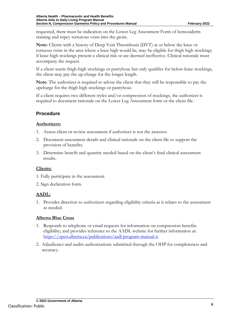requested, there must be indication on the Lower Leg Assessment Form of hemosiderin staining and ropey torturous veins into the groin.

**Note:** Clients with a history of Deep Vein Thrombosis (DVT) at or below the knee or tortuous veins in the area where a knee high would lie, may be eligible for thigh high stockings if knee high stockings present a clinical risk or are deemed ineffective. Clinical rationale must accompany the request.

If a client wants thigh-high stockings or pantyhose but only qualifies for below-knee stockings, the client may pay the up-charge for the longer length.

**Note**: The authorizer is required to advise the client that they will be responsible to pay the upcharge for the thigh high stockings or pantyhose.

If a client requires two different styles and/or compression of stockings, the authorizer is required to document rationale on the Lower Leg Assessment form or the client file.

## <span id="page-8-0"></span>**Procedure**

#### **Authorizers:**

- 1. Assess client or review assessment if authorizer is not the assessor.
- 2. Document assessment details and clinical rationale on the client file to support the provision of benefits.
- 3. Determine benefit and quantity needed based on the client's final clinical assessment results.

### **Clients:**

- 1. Fully participate in the assessment.
- 2. Sign declaration form.

## **AADL:**

1. Provides direction to authorizers regarding eligibility criteria as it relates to the assessment as needed.

### **Alberta Blue Cross**

- 1. Responds to telephone or email requests for information on compression benefits eligibility; and provides reference to the AADL website for further information at: <https://open.alberta.ca/publications/aadl-program-manual-n>
- 2. Adjudicates and audits authorizations submitted through the OHP for completeness and accuracy.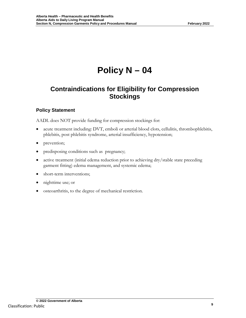# <span id="page-9-1"></span><span id="page-9-0"></span>**Contraindications for Eligibility for Compression Stockings**

## <span id="page-9-2"></span>**Policy Statement**

AADL does NOT provide funding for compression stockings for:

- acute treatment including: DVT, emboli or arterial blood clots, cellulitis, thrombophlebitis, phlebitis, post phlebitis syndrome, arterial insufficiency, hypotension;
- prevention;
- predisposing conditions such as pregnancy;
- active treatment (initial edema reduction prior to achieving dry/stable state preceding garment fitting) edema management, and systemic edema;
- short-term interventions;
- nighttime use; or
- osteoarthritis, to the degree of mechanical restriction.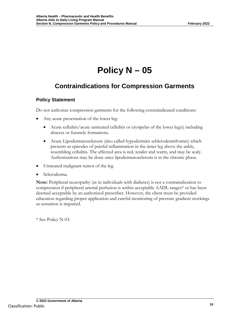# <span id="page-10-1"></span><span id="page-10-0"></span>**Contraindications for Compression Garments**

## <span id="page-10-2"></span>**Policy Statement**

Do not authorize compression garments for the following contraindicated conditions:

- Any acute presentation of the lower leg:
	- Acute cellulitis/acute untreated cellulitis or erysipelas of the lower leg(s) including abscess or furuncle formations.
	- Acute Lipodermatosclerosis (also called hypodermitis schlerodermiformis) which presents as episodes of painful inflammation in the inner leg above the ankle, resembling cellulitis. The affected area is red, tender and warm, and may be scaly. Authorizations may be done once lipodermatosclerosis is in the chronic phase.
- Untreated malignant tumor of the leg.
- Scleroderma.

**Note:** Peripheral neuropathy (as in individuals with diabetes) is not a contraindication to compression if peripheral arterial perfusion is within acceptable AADL ranges\* or has been deemed acceptable by an authorized prescriber. However, the client must be provided education regarding proper application and careful monitoring of pressure gradient stockings as sensation is impaired.

\* See Policy N-03.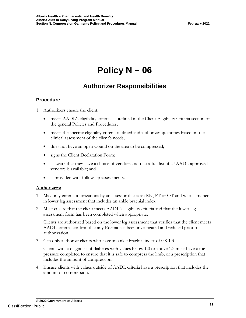# **Authorizer Responsibilities**

## <span id="page-11-2"></span><span id="page-11-1"></span><span id="page-11-0"></span>**Procedure**

- 1. Authorizers ensure the client:
	- meets AADL's eligibility criteria as outlined in the Client Eligibility Criteria section of the general Policies and Procedures;
	- meets the specific eligibility criteria outlined and authorizes quantities based on the clinical assessment of the client's needs;
	- does not have an open wound on the area to be compressed;
	- signs the Client Declaration Form;
	- is aware that they have a choice of vendors and that a full list of all AADL approved vendors is available; and
	- is provided with follow-up assessments.

### **Authorizers:**

- 1. May only enter authorizations by an assessor that is an RN, PT or OT and who is trained in lower leg assessment that includes an ankle brachial index.
- 2. Must ensure that the client meets AADL's eligibility criteria and that the lower leg assessment form has been completed when appropriate.

Clients are authorized based on the lower leg assessment that verifies that the client meets AADL criteria: confirm that any Edema has been investigated and reduced prior to authorization.

3. Can only authorize clients who have an ankle brachial index of 0.8-1.3.

Clients with a diagnosis of diabetes with values below 1.0 or above 1.3 must have a toe pressure completed to ensure that it is safe to compress the limb, or a prescription that includes the amount of compression.

4. Ensure clients with values outside of AADL criteria have a prescription that includes the amount of compression.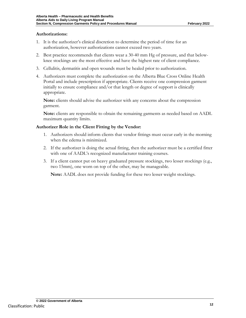#### **Authorizations:**

- 1. It is the authorizer's clinical discretion to determine the period of time for an authorization, however authorizations cannot exceed two years.
- 2. Best practice recommends that clients wear a 30-40 mm Hg of pressure, and that belowknee stockings are the most effective and have the highest rate of client compliance.
- 3. Cellulitis, dermatitis and open wounds must be healed prior to authorization.
- 4. Authorizers must complete the authorization on the Alberta Blue Cross Online Health Portal and include prescription if appropriate. Clients receive one compression garment initially to ensure compliance and/or that length or degree of support is clinically appropriate.

**Note:** clients should advise the authorizer with any concerns about the compression garment.

**Note:** clients are responsible to obtain the remaining garments as needed based on AADL maximum quantity limits.

#### **Authorizer Role in the Client Fitting by the Vendor:**

- 1. Authorizers should inform clients that vendor fittings must occur early in the morning when the edema is minimized.
- 2. If the authorizer is doing the actual fitting, then the authorizer must be a certified fitter with one of AADL's recognized manufacturer training courses.
- 3. If a client cannot put on heavy graduated pressure stockings, two lesser stockings (e.g., two 15mm), one worn on top of the other, may be manageable.

**Note:** AADL does not provide funding for these two lesser weight stockings.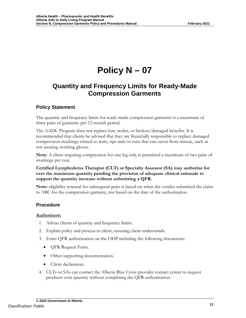## <span id="page-13-1"></span><span id="page-13-0"></span>**Quantity and Frequency Limits for Ready-Made Compression Garments**

## <span id="page-13-2"></span>**Policy Statement**

The quantity and frequency limits for ready-made compression garments is a maximum of three pairs of garments per 12-month period.

The AADL Program does not replace lost, stolen, or broken/damaged benefits. It is recommended that clients be advised that they are financially responsible to replace damaged compression stockings related to tears, rips and/or runs that can occur from misuse, such as not wearing stocking gloves.

**Note**: A client requiring compression for one leg only is permitted a maximum of two pairs of stockings per year.

#### **Certified Lymphedema Therapist (CLT) or Specialty Assessor (SA) may authorize for over the maximum quantity pending the provision of adequate clinical rationale to support the quantity increase without submitting a QFR.**

**Note:** eligibility renewal for subsequent pairs is based on when the vendor submitted the claim to ABC for the compression garment, not based on the date of the authorization.

## <span id="page-13-3"></span>**Procedure**

### **Authorizers:**

- 1. Advise clients of quantity and frequency limits.
- 2. Explain policy and process to client, ensuring client understands.
- 3. Enter QFR authorization on the OHP including the following documents:
	- QFR Request Form.
	- Other supporting documentation.
	- Client declaration.
- 4. CLTs or SAs can contact the Alberta Blue Cross provider contact center to request products over quantity without completing the QFR authorization.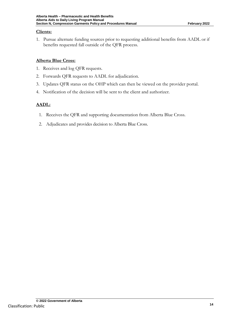#### **Clients:**

1. Pursue alternate funding sources prior to requesting additional benefits from AADL or if benefits requested fall outside of the QFR process.

### **Alberta Blue Cross:**

- 1. Receives and log QFR requests.
- 2. Forwards QFR requests to AADL for adjudication.
- 3. Updates QFR status on the OHP which can then be viewed on the provider portal.
- 4. Notification of the decision will be sent to the client and authorizer.

## **AADL:**

- 1. Receives the QFR and supporting documentation from Alberta Blue Cross.
- 2. Adjudicates and provides decision to Alberta Blue Cross.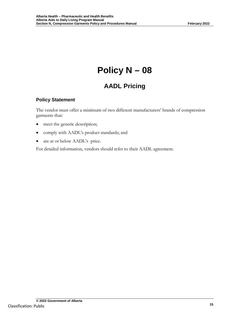# **AADL Pricing**

## <span id="page-15-2"></span><span id="page-15-1"></span><span id="page-15-0"></span>**Policy Statement**

The vendor must offer a minimum of two different manufacturers' brands of compression garments that:

- meet the generic description;
- comply with AADL's product standards; and
- are at or below AADL's price.

For detailed information, vendors should refer to their AADL agreement.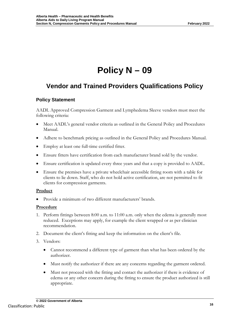## <span id="page-16-1"></span><span id="page-16-0"></span>**Vendor and Trained Providers Qualifications Policy**

## <span id="page-16-2"></span>**Policy Statement**

AADL Approved Compression Garment and Lymphedema Sleeve vendors must meet the following criteria:

- Meet AADL's general vendor criteria as outlined in the General Policy and Procedures Manual.
- Adhere to benchmark pricing as outlined in the General Policy and Procedures Manual.
- Employ at least one full-time certified fitter.
- Ensure fitters have certification from each manufacturer brand sold by the vendor.
- Ensure certification is updated every three years and that a copy is provided to AADL.
- Ensure the premises have a private wheelchair accessible fitting room with a table for clients to lie down. Staff, who do not hold active certification, are not permitted to fit clients for compression garments.

#### **Product**

• Provide a minimum of two different manufacturers' brands.

### **Procedure**

- 1. Perform fittings between 8:00 a.m. to 11:00 a.m. only when the edema is generally most reduced. Exceptions may apply, for example the client wrapped or as per clinician recommendation.
- 2. Document the client's fitting and keep the information on the client's file.
- 3. Vendors:
	- Cannot recommend a different type of garment than what has been ordered by the authorizer.
	- Must notify the authorizer if there are any concerns regarding the garment ordered.
	- Must not proceed with the fitting and contact the authorizer if there is evidence of edema or any other concern during the fitting to ensure the product authorized is still appropriate.